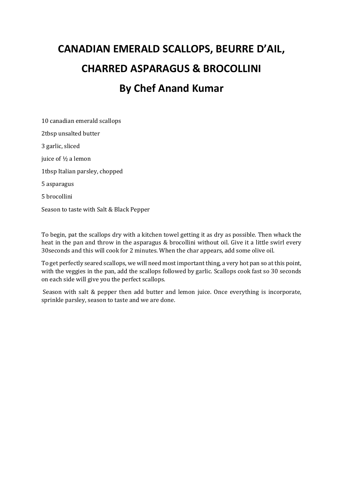# **CANADIAN EMERALD SCALLOPS, BEURRE D'AIL, CHARRED ASPARAGUS & BROCOLLINI By Chef Anand Kumar**

10 canadian emerald scallops 2tbsp unsalted butter 3 garlic, sliced juice of ½ a lemon 1tbsp Italian parsley, chopped 5 asparagus 5 brocollini Season to taste with Salt & Black Pepper

To begin, pat the scallops dry with a kitchen towel getting it as dry as possible. Then whack the heat in the pan and throw in the asparagus & brocollini without oil. Give it a little swirl every 30seconds and this will cook for 2 minutes. When the char appears, add some olive oil.

To get perfectly seared scallops, we will need most important thing, a very hot pan so at this point, with the veggies in the pan, add the scallops followed by garlic. Scallops cook fast so 30 seconds on each side will give you the perfect scallops.

Season with salt & pepper then add butter and lemon juice. Once everything is incorporate, sprinkle parsley, season to taste and we are done.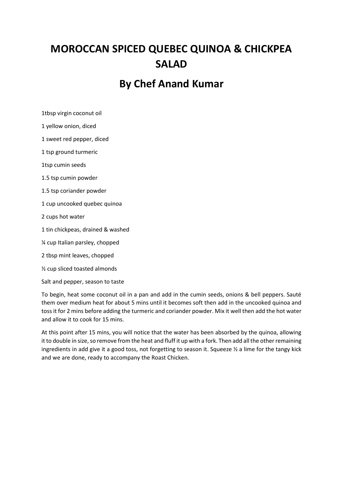## **MOROCCAN SPICED QUEBEC QUINOA & CHICKPEA SALAD**

### **By Chef Anand Kumar**

1tbsp virgin coconut oil

1 yellow onion, diced

1 sweet red pepper, diced

1 tsp ground turmeric

1tsp cumin seeds

1.5 tsp cumin powder

1.5 tsp coriander powder

1 cup uncooked quebec quinoa

2 cups hot water

1 tin chickpeas, drained & washed

¼ cup Italian parsley, chopped

2 tbsp mint leaves, chopped

½ cup sliced toasted almonds

Salt and pepper, season to taste

To begin, heat some coconut oil in a pan and add in the cumin seeds, onions & bell peppers. Sauté them over medium heat for about 5 mins until it becomes soft then add in the uncooked quinoa and toss it for 2 mins before adding the turmeric and coriander powder. Mix it well then add the hot water and allow it to cook for 15 mins.

At this point after 15 mins, you will notice that the water has been absorbed by the quinoa, allowing it to double in size, so remove from the heat and fluff it up with a fork. Then add all the other remaining ingredients in add give it a good toss, not forgetting to season it. Squeeze  $\frac{1}{2}$  a lime for the tangy kick and we are done, ready to accompany the Roast Chicken.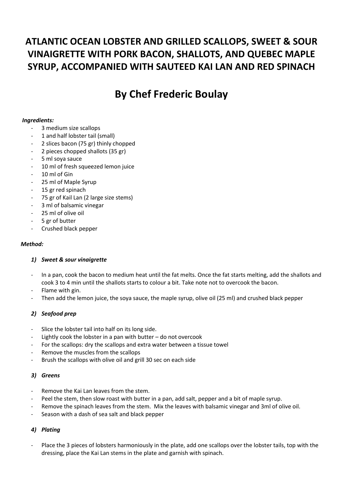### **ATLANTIC OCEAN LOBSTER AND GRILLED SCALLOPS, SWEET & SOUR VINAIGRETTE WITH PORK BACON, SHALLOTS, AND QUEBEC MAPLE SYRUP, ACCOMPANIED WITH SAUTEED KAI LAN AND RED SPINACH**

### **By Chef Frederic Boulay**

#### *Ingredients:*

- 3 medium size scallops
- 1 and half lobster tail (small)
- 2 slices bacon (75 gr) thinly chopped
- 2 pieces chopped shallots (35 gr)
- 5 ml soya sauce
- 10 ml of fresh squeezed lemon juice
- 10 ml of Gin
- 25 ml of Maple Syrup
- 15 gr red spinach
- 75 gr of Kail Lan (2 large size stems)
- 3 ml of balsamic vinegar
- 25 ml of olive oil
- 5 gr of butter
- Crushed black pepper

#### *Method:*

#### *1) Sweet & sour vinaigrette*

- In a pan, cook the bacon to medium heat until the fat melts. Once the fat starts melting, add the shallots and cook 3 to 4 min until the shallots starts to colour a bit. Take note not to overcook the bacon.
- Flame with gin.
- Then add the lemon juice, the soya sauce, the maple syrup, olive oil (25 ml) and crushed black pepper

#### *2) Seafood prep*

- Slice the lobster tail into half on its long side.
- Lightly cook the lobster in a pan with butter  $-$  do not overcook
- For the scallops: dry the scallops and extra water between a tissue towel
- Remove the muscles from the scallops
- Brush the scallops with olive oil and grill 30 sec on each side

#### *3) Greens*

- Remove the Kai Lan leaves from the stem.
- Peel the stem, then slow roast with butter in a pan, add salt, pepper and a bit of maple syrup.
- Remove the spinach leaves from the stem. Mix the leaves with balsamic vinegar and 3ml of olive oil.
- Season with a dash of sea salt and black pepper

#### *4) Plating*

Place the 3 pieces of lobsters harmoniously in the plate, add one scallops over the lobster tails, top with the dressing, place the Kai Lan stems in the plate and garnish with spinach.